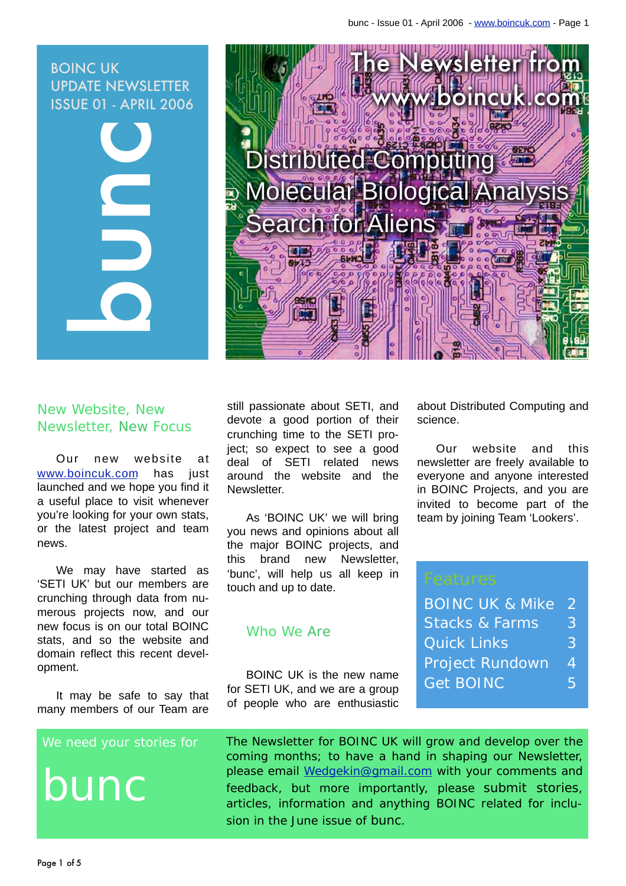### BOINC UK UPDATE NEWSLETTER ISSUE 01 - APRIL 2006





### New Website, New Newsletter, New Focus

Our new website at [www.boincuk.com](http://www.boincuk.com) has just launched and we hope you find it a useful place to visit whenever you're looking for your own stats, or the latest project and team news.

We may have started as 'SETI UK' but our members are crunching through data from numerous projects now, and our new focus is on our total BOINC stats, and so the website and domain reflect this recent development.

It may be safe to say that many members of our Team are

#### We need your stories for

bunc

still passionate about SETI, and devote a good portion of their crunching time to the SETI project; so expect to see a good deal of SETI related news around the website and the Newsletter.

As 'BOINC UK' we will bring you news and opinions about all the major BOINC projects, and this brand new Newsletter, 'bunc', will help us all keep in touch and up to date.

#### Who We Are

BOINC UK is the new name for SETI UK, and we are a group of people who are enthusiastic about Distributed Computing and science.

Our website and this newsletter are freely available to everyone and anyone interested in BOINC Projects, and you are invited to become part of the team by joining Team 'Lookers'.

| <b>BOINC UK &amp; Mike</b> | D.       |
|----------------------------|----------|
| <b>Stacks &amp; Farms</b>  | $\bf{3}$ |
| Quick Links                | 3        |
| <b>Project Rundown</b>     | 4        |
| <b>Get BOINC</b>           | 5.       |
|                            |          |

The Newsletter for BOINC UK will grow and develop over the coming months; to have a hand in shaping our Newsletter, please email [Wedgekin@gmail.com](mailto:Wedgekin@gmail.com) with your comments and feedback, but more importantly, please submit stories, articles, information and anything BOINC related for inclusion in the June issue of bunc.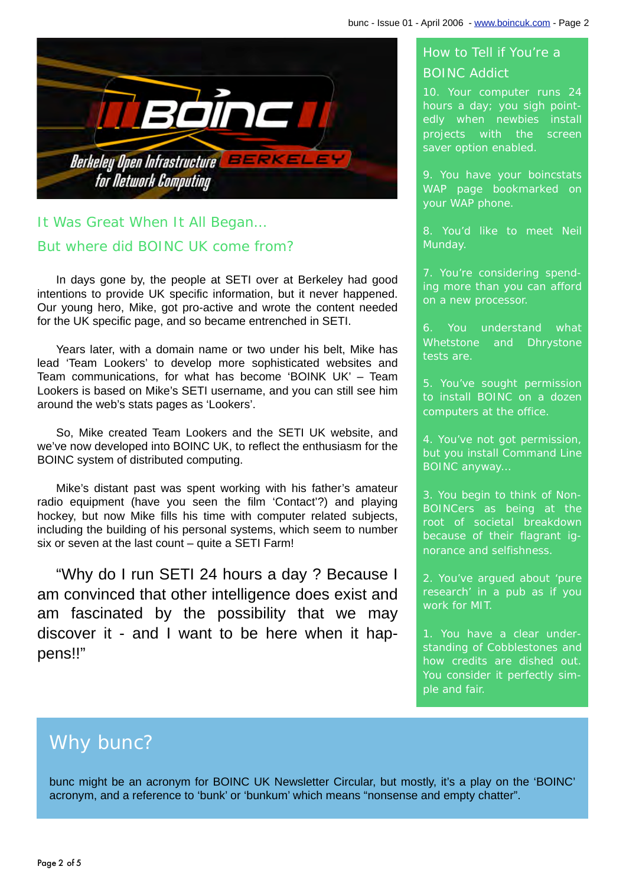<span id="page-1-0"></span>

### It Was Great When It All Began… But where did BOINC UK come from?

In days gone by, the people at SETI over at Berkeley had good intentions to provide UK specific information, but it never happened. Our young hero, Mike, got pro-active and wrote the content needed for the UK specific page, and so became entrenched in SETI.

Years later, with a domain name or two under his belt, Mike has lead 'Team Lookers' to develop more sophisticated websites and Team communications, for what has become 'BOINK UK' – Team Lookers is based on Mike's SETI username, and you can still see him around the web's stats pages as 'Lookers'.

So, Mike created Team Lookers and the SETI UK website, and we've now developed into BOINC UK, to reflect the enthusiasm for the BOINC system of distributed computing.

Mike's distant past was spent working with his father's amateur radio equipment (have you seen the film 'Contact'?) and playing hockey, but now Mike fills his time with computer related subjects, including the building of his personal systems, which seem to number six or seven at the last count – quite a SETI Farm!

"Why do I run SETI 24 hours a day ? Because I am convinced that other intelligence does exist and am fascinated by the possibility that we may discover it - and I want to be here when it happens!!"

### How to Tell if You're a BOINC Addict

10. Your computer runs 24 hours a day; you sigh pointedly when newbies install projects with the screen saver option enabled.

9. You have your boincstats WAP page bookmarked on your WAP phone.

8. You'd like to meet Neil Munday.

7. You're considering spending more than you can afford on a new processor.

You understand what Whetstone and Dhrystone tests are.

5. You've sought permission to install BOINC on a dozen computers at the office.

4. You've not got permission, but you install Command Line BOINC anyway…

3. You begin to think of Non-BOINCers as being at the root of societal breakdown because of their flagrant ignorance and selfishness.

2. You've argued about 'pure research' in a pub as if you work for MIT.

1. You have a clear understanding of Cobblestones and how credits are dished out. You consider it perfectly simple and fair.

## Why bunc?

bunc might be an acronym for BOINC UK Newsletter Circular, but mostly, it's a play on the 'BOINC' acronym, and a reference to 'bunk' or 'bunkum' which means "nonsense and empty chatter".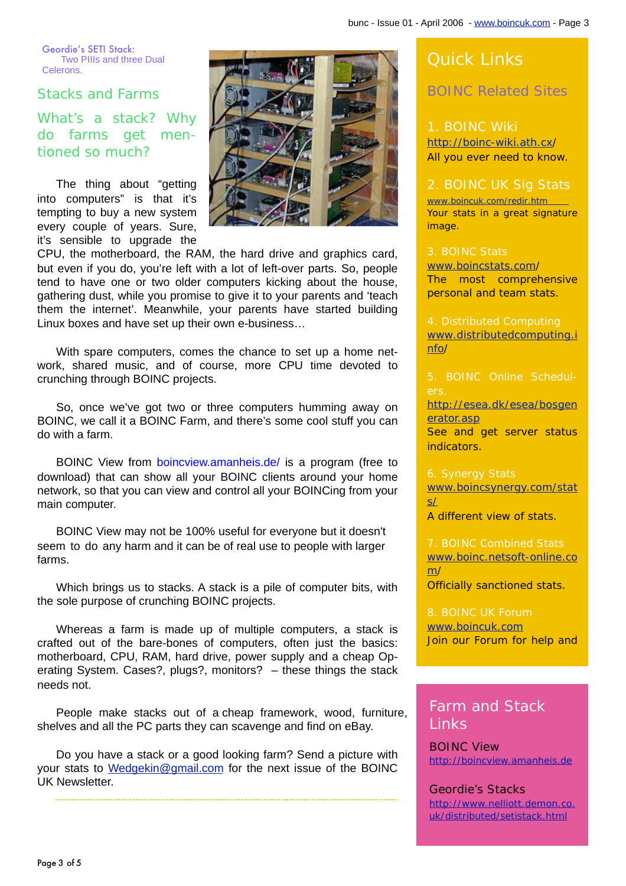<span id="page-2-0"></span>Geordie's SETI Stack: Two PIIIs and three Dual Celerons.

Stacks and Farms

What's a stack? Why do farms get mentioned so much?

The thing about "getting into computers" is that it's tempting to buy a new system every couple of years. Sure, it's sensible to upgrade the



CPU, the motherboard, the RAM, the hard drive and graphics card, but even if you do, you're left with a lot of left-over parts. So, people tend to have one or two older computers kicking about the house, gathering dust, while you promise to give it to your parents and 'teach them the internet'. Meanwhile, your parents have started building Linux boxes and have set up their own e-business…

With spare computers, comes the chance to set up a home network, shared music, and of course, more CPU time devoted to crunching through BOINC projects.

So, once we've got two or three computers humming away on BOINC, we call it a BOINC Farm, and there's some cool stuff you can do with a farm.

BOINC View from [boincview.amanheis.de/](http://boincview.amanheis.de) is a program (free to download) that can show all your BOINC clients around your home network, so that you can view and control all your BOINCing from your main computer.

BOINC View may not be 100% useful for everyone but it doesn't seem to do any harm and it can be of real use to people with larger farms.

Which brings us to stacks. A stack is a pile of computer bits, with the sole purpose of crunching BOINC projects.

Whereas a farm is made up of multiple computers, a stack is crafted out of the bare-bones of computers, often just the basics: motherboard, CPU, RAM, hard drive, power supply and a cheap Operating System. Cases?, plugs?, monitors? – these things the stack needs not.

People make stacks out of a cheap framework, wood, furniture, shelves and all the PC parts they can scavenge and find on eBay.

Do you have a stack or a good looking farm? Send a picture with your stats to [Wedgekin@gmail.com](mailto:Wedgekin@gmail.com) for the next issue of the BOINC UK Newsletter.

### Quick Links

BOINC Related Sites

1. BOINC Wiki <http://boinc-wiki.ath.cx/> All you ever need to know.

#### [2. BOINC UK Sig Stats](http://www.boincuk.com/redir.htm)

www.boincuk.com/redir.htm Your stats in a great signature image.

3. BOINC Stats [www.boincstats.com/](http://www.boincstats.com/) The most comprehensive personal and team stats.

4. Distributed Computing [www.distributedcomputing.i](http://www.distributedcomputing.info) nfo/

5. BOINC Online Schedul-

[http://esea.dk/esea/bosgen](http://esea.dk/esea/bosgenerator.asp) erator.asp

See and get server status indicators.

[www.boincsynergy.com/stat](http://www.boincsynergy.com/stats/) s/

A different view of stats.

7. BOINC Combined Stats [www.boinc.netsoft-online.co](http://www.boinc.netsoft-online.com/) m/ Officially sanctioned stats.

[8. BOINC UK Forum](http://www.boincuk.com) www.boincuk.com Join our Forum for help and

#### Farm and Stack Links

BOINC View <http://boincview.amanheis.de>

Geordie's Stacks [http://www.nelliott.demon.co.](http://www.nelliott.demon.co.uk/distributed/setistack.html) uk/distributed/setistack.html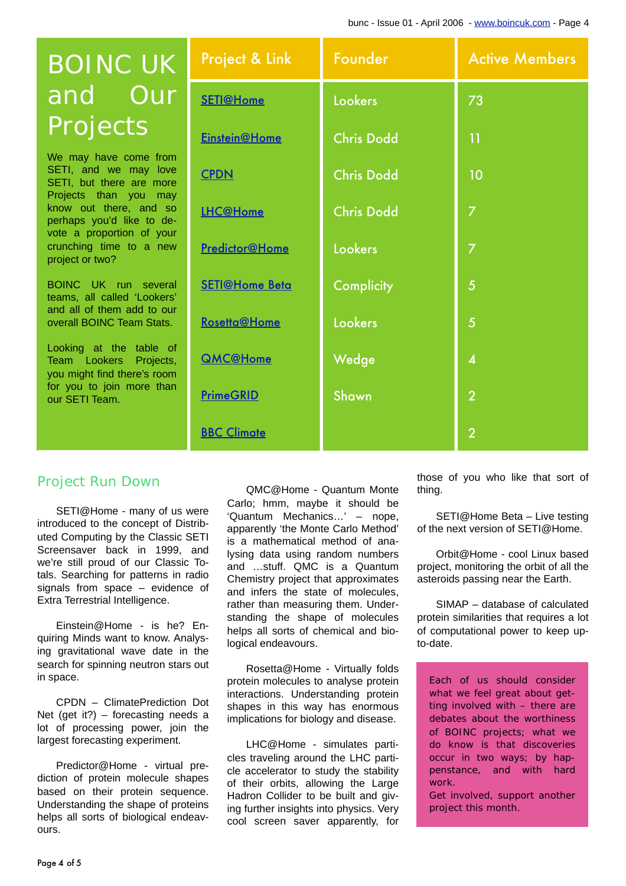# <span id="page-3-0"></span>BOINC UK and Our Projects

We may have come from SETI, and we may love SETI, but there are more Projects than you may know out there, and so perhaps you'd like to devote a proportion of your crunching time to a new project or two?

BOINC UK run several teams, all called 'Lookers' and all of them add to our overall BOINC Team Stats.

Looking at the table of Team Lookers Projects, you might find there's room for you to join more than our SETI Team.

| <b>Project &amp; Link</b> | Founder           | <b>Active Members</b> |
|---------------------------|-------------------|-----------------------|
| <b>SETI@Home</b>          | <b>Lookers</b>    | 73                    |
| Einstein@Home             | <b>Chris Dodd</b> | 11                    |
| <b>CPDN</b>               | <b>Chris Dodd</b> | 10                    |
| <b>LHC@Home</b>           | <b>Chris Dodd</b> | 7                     |
| Predictor@Home            | <b>Lookers</b>    | $\overline{7}$        |
| <b>SETI@Home Beta</b>     | <b>Complicity</b> | $\overline{5}$        |
| Rosetta@Home              | <b>Lookers</b>    | $\overline{5}$        |
| <b>QMC@Home</b>           | Wedge             | $\boldsymbol{4}$      |
| <b>PrimeGRID</b>          | Shawn             | $\overline{2}$        |
| <b>BBC Climate</b>        |                   | $\overline{2}$        |

#### Project Run Down

SETI@Home - many of us were introduced to the concept of Distributed Computing by the Classic SETI Screensaver back in 1999, and we're still proud of our Classic Totals. Searching for patterns in radio signals from space – evidence of Extra Terrestrial Intelligence.

Einstein@Home - is he? Enquiring Minds want to know. Analysing gravitational wave date in the search for spinning neutron stars out in space.

CPDN – ClimatePrediction Dot Net (get it?) – forecasting needs a lot of processing power, join the largest forecasting experiment.

Predictor@Home - virtual prediction of protein molecule shapes based on their protein sequence. Understanding the shape of proteins helps all sorts of biological endeavours.

QMC@Home - Quantum Monte Carlo; hmm, maybe it should be 'Quantum Mechanics…' – nope, apparently 'the Monte Carlo Method' is a mathematical method of analysing data using random numbers and …stuff. QMC is a Quantum Chemistry project that approximates and infers the state of molecules, rather than measuring them. Understanding the shape of molecules helps all sorts of chemical and biological endeavours.

Rosetta@Home - Virtually folds protein molecules to analyse protein interactions. Understanding protein shapes in this way has enormous implications for biology and disease.

LHC@Home - simulates particles traveling around the LHC particle accelerator to study the stability of their orbits, allowing the Large Hadron Collider to be built and giving further insights into physics. Very cool screen saver apparently, for those of you who like that sort of thing.

SETI@Home Beta – Live testing of the next version of SETI@Home.

Orbit@Home - cool Linux based project, monitoring the orbit of all the asteroids passing near the Earth.

SIMAP – database of calculated protein similarities that requires a lot of computational power to keep upto-date.

Each of us should consider what we feel great about getting involved with – there are debates about the worthiness of BOINC projects; what we do know is that discoveries occur in two ways; by happenstance, and with hard work.

Get involved, support another project this month.